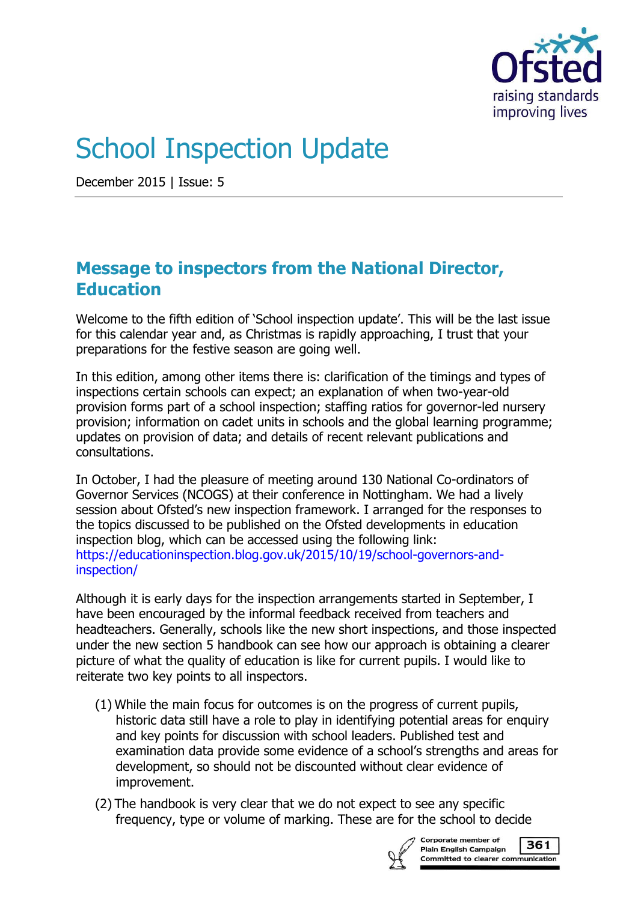

# School Inspection Update

December 2015 | Issue: 5

## **Message to inspectors from the National Director, Education**

Welcome to the fifth edition of 'School inspection update'. This will be the last issue for this calendar year and, as Christmas is rapidly approaching, I trust that your preparations for the festive season are going well.

In this edition, among other items there is: clarification of the timings and types of inspections certain schools can expect; an explanation of when two-year-old provision forms part of a school inspection; staffing ratios for governor-led nursery provision; information on cadet units in schools and the global learning programme; updates on provision of data; and details of recent relevant publications and consultations.

In October, I had the pleasure of meeting around 130 National Co-ordinators of Governor Services (NCOGS) at their conference in Nottingham. We had a lively session about Ofsted's new inspection framework. I arranged for the responses to the topics discussed to be published on the Ofsted developments in education inspection blog, which can be accessed using the following link: [https://educationinspection.blog.gov.uk/2015/10/19/school-governors-and](https://educationinspection.blog.gov.uk/2015/10/19/school-governors-and-inspection/)[inspection/](https://educationinspection.blog.gov.uk/2015/10/19/school-governors-and-inspection/)

Although it is early days for the inspection arrangements started in September, I have been encouraged by the informal feedback received from teachers and headteachers. Generally, schools like the new short inspections, and those inspected under the new section 5 handbook can see how our approach is obtaining a clearer picture of what the quality of education is like for current pupils. I would like to reiterate two key points to all inspectors.

- (1) While the main focus for outcomes is on the progress of current pupils, historic data still have a role to play in identifying potential areas for enquiry and key points for discussion with school leaders. Published test and examination data provide some evidence of a school's strengths and areas for development, so should not be discounted without clear evidence of improvement.
- (2) The handbook is very clear that we do not expect to see any specific frequency, type or volume of marking. These are for the school to decide



Corporate member of 361 Plain English Campaign Committed to clearer communication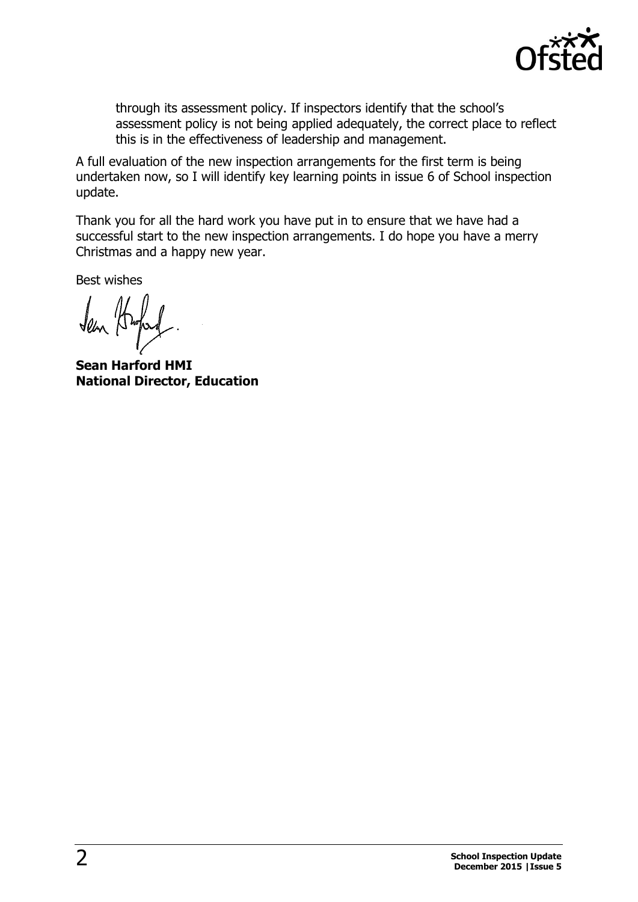

through its assessment policy. If inspectors identify that the school's assessment policy is not being applied adequately, the correct place to reflect this is in the effectiveness of leadership and management.

A full evaluation of the new inspection arrangements for the first term is being undertaken now, so I will identify key learning points in issue 6 of School inspection update.

Thank you for all the hard work you have put in to ensure that we have had a successful start to the new inspection arrangements. I do hope you have a merry Christmas and a happy new year.

Best wishes

**Sean Harford HMI National Director, Education**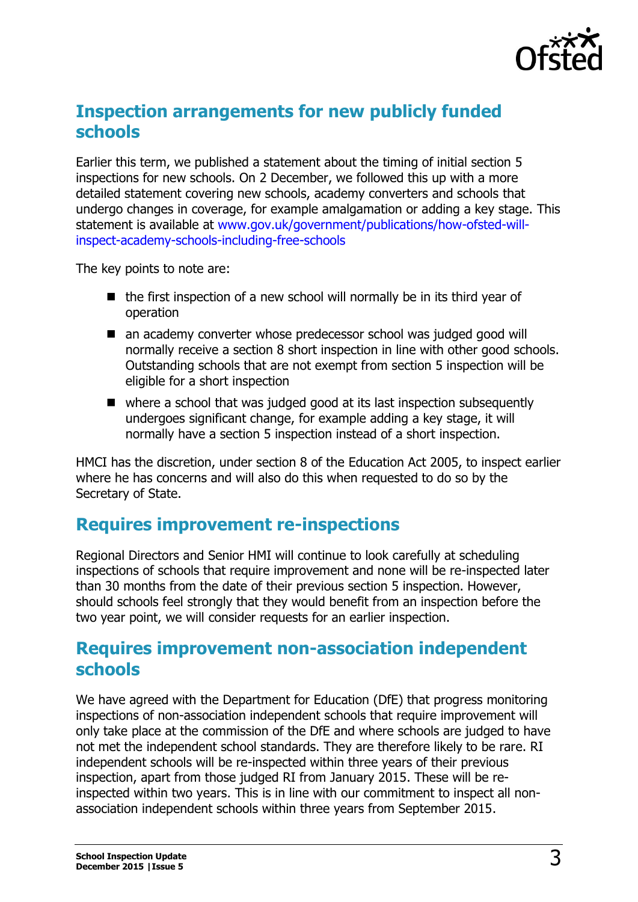

# **Inspection arrangements for new publicly funded schools**

Earlier this term, we published a statement about the timing of initial section 5 inspections for new schools. On 2 December, we followed this up with a more detailed statement covering new schools, academy converters and schools that undergo changes in coverage, for example amalgamation or adding a key stage. This statement is available at [www.gov.uk/government/publications/how-ofsted-will](https://www.gov.uk/government/publications/how-ofsted-will-inspect-academy-schools-including-free-schools)[inspect-academy-schools-including-free-schools](https://www.gov.uk/government/publications/how-ofsted-will-inspect-academy-schools-including-free-schools)

The key points to note are:

- $\blacksquare$  the first inspection of a new school will normally be in its third year of operation
- an academy converter whose predecessor school was judged good will normally receive a section 8 short inspection in line with other good schools. Outstanding schools that are not exempt from section 5 inspection will be eligible for a short inspection
- $\blacksquare$  where a school that was judged good at its last inspection subsequently undergoes significant change, for example adding a key stage, it will normally have a section 5 inspection instead of a short inspection.

HMCI has the discretion, under section 8 of the Education Act 2005, to inspect earlier where he has concerns and will also do this when requested to do so by the Secretary of State.

## **Requires improvement re-inspections**

Regional Directors and Senior HMI will continue to look carefully at scheduling inspections of schools that require improvement and none will be re-inspected later than 30 months from the date of their previous section 5 inspection. However, should schools feel strongly that they would benefit from an inspection before the two year point, we will consider requests for an earlier inspection.

## **Requires improvement non-association independent schools**

We have agreed with the Department for Education (DfE) that progress monitoring inspections of non-association independent schools that require improvement will only take place at the commission of the DfE and where schools are judged to have not met the independent school standards. They are therefore likely to be rare. RI independent schools will be re-inspected within three years of their previous inspection, apart from those judged RI from January 2015. These will be reinspected within two years. This is in line with our commitment to inspect all nonassociation independent schools within three years from September 2015.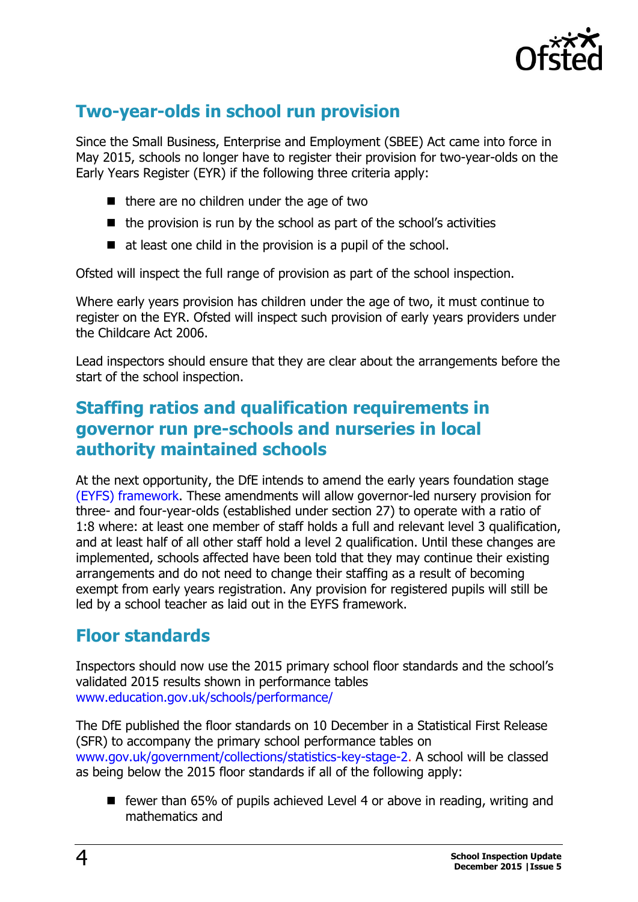

# **Two-year-olds in school run provision**

Since the Small Business, Enterprise and Employment (SBEE) Act came into force in May 2015, schools no longer have to register their provision for two-year-olds on the Early Years Register (EYR) if the following three criteria apply:

- $\blacksquare$  there are no children under the age of two
- $\blacksquare$  the provision is run by the school as part of the school's activities
- $\blacksquare$  at least one child in the provision is a pupil of the school.

Ofsted will inspect the full range of provision as part of the school inspection.

Where early years provision has children under the age of two, it must continue to register on the EYR. Ofsted will inspect such provision of early years providers under the Childcare Act 2006.

Lead inspectors should ensure that they are clear about the arrangements before the start of the school inspection.

## **Staffing ratios and qualification requirements in governor run pre-schools and nurseries in local authority maintained schools**

At the next opportunity, the DfE intends to amend the early years foundation stage [\(EYFS\) framework.](https://www.gov.uk/government/collections/early-learning-and-childcare-guidance-for-early-years-providers) These amendments will allow governor-led nursery provision for three- and four-year-olds (established under section 27) to operate with a ratio of 1:8 where: at least one member of staff holds a full and relevant level 3 qualification, and at least half of all other staff hold a level 2 qualification. Until these changes are implemented, schools affected have been told that they may continue their existing arrangements and do not need to change their staffing as a result of becoming exempt from early years registration. Any provision for registered pupils will still be led by a school teacher as laid out in the EYFS framework.

# **Floor standards**

Inspectors should now use the 2015 primary school floor standards and the school's validated 2015 results shown in performance tables [www.education.gov.uk/schools/performance/](http://www.education.gov.uk/schools/performance/)

The DfE published the floor standards on 10 December in a Statistical First Release (SFR) to accompany the primary school performance tables on [www.gov.uk/government/collections/statistics-key-stage-2.](http://www.gov.uk/government/collections/statistics-key-stage-2) A school will be classed as being below the 2015 floor standards if all of the following apply:

■ fewer than 65% of pupils achieved Level 4 or above in reading, writing and mathematics and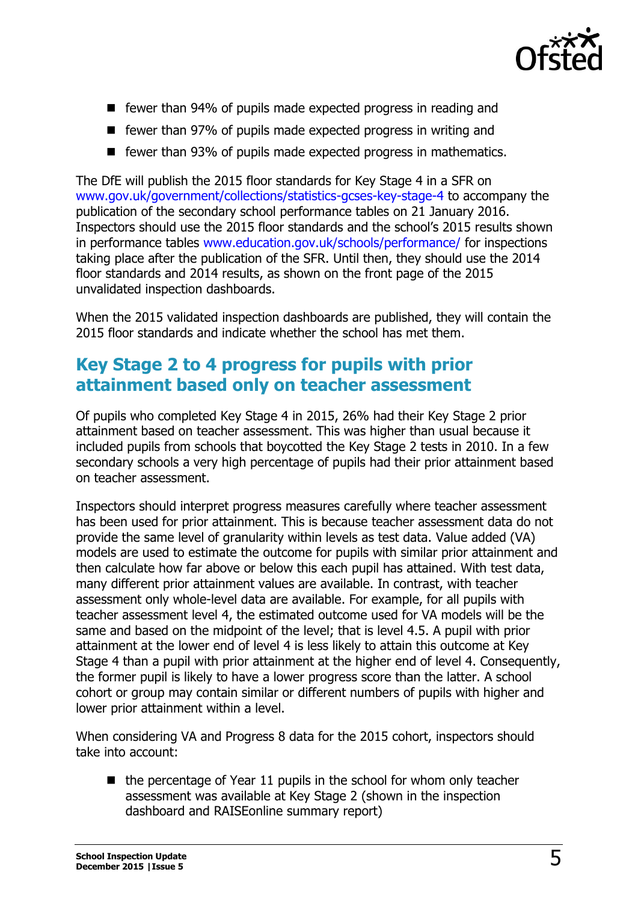

- fewer than 94% of pupils made expected progress in reading and
- fewer than 97% of pupils made expected progress in writing and
- fewer than 93% of pupils made expected progress in mathematics.

The DfE will publish the 2015 floor standards for Key Stage 4 in a SFR on [www.gov.uk/government/collections/statistics-gcses-key-stage-4](https://www.gov.uk/government/collections/statistics-gcses-key-stage-4) to accompany the publication of the secondary school performance tables on 21 January 2016. Inspectors should use the 2015 floor standards and the school's 2015 results shown in performance tables [www.education.gov.uk/schools/performance/](http://www.education.gov.uk/schools/performance/) for inspections taking place after the publication of the SFR. Until then, they should use the 2014 floor standards and 2014 results, as shown on the front page of the 2015 unvalidated inspection dashboards.

When the 2015 validated inspection dashboards are published, they will contain the 2015 floor standards and indicate whether the school has met them.

## **Key Stage 2 to 4 progress for pupils with prior attainment based only on teacher assessment**

Of pupils who completed Key Stage 4 in 2015, 26% had their Key Stage 2 prior attainment based on teacher assessment. This was higher than usual because it included pupils from schools that boycotted the Key Stage 2 tests in 2010. In a few secondary schools a very high percentage of pupils had their prior attainment based on teacher assessment.

Inspectors should interpret progress measures carefully where teacher assessment has been used for prior attainment. This is because teacher assessment data do not provide the same level of granularity within levels as test data. Value added (VA) models are used to estimate the outcome for pupils with similar prior attainment and then calculate how far above or below this each pupil has attained. With test data, many different prior attainment values are available. In contrast, with teacher assessment only whole-level data are available. For example, for all pupils with teacher assessment level 4, the estimated outcome used for VA models will be the same and based on the midpoint of the level; that is level 4.5. A pupil with prior attainment at the lower end of level 4 is less likely to attain this outcome at Key Stage 4 than a pupil with prior attainment at the higher end of level 4. Consequently, the former pupil is likely to have a lower progress score than the latter. A school cohort or group may contain similar or different numbers of pupils with higher and lower prior attainment within a level.

When considering VA and Progress 8 data for the 2015 cohort, inspectors should take into account:

 $\blacksquare$  the percentage of Year 11 pupils in the school for whom only teacher assessment was available at Key Stage 2 (shown in the inspection dashboard and RAISEonline summary report)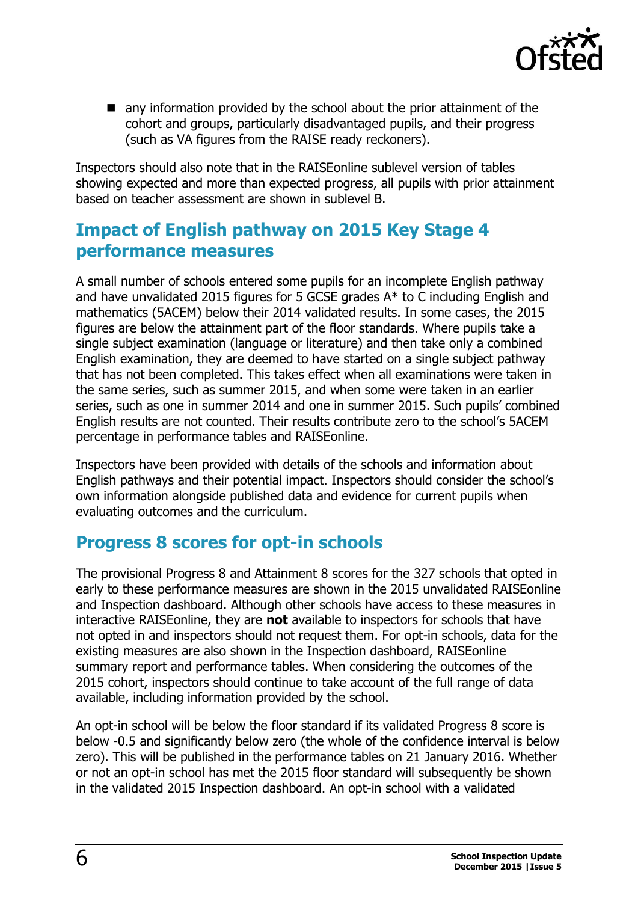

■ any information provided by the school about the prior attainment of the cohort and groups, particularly disadvantaged pupils, and their progress (such as VA figures from the RAISE ready reckoners).

Inspectors should also note that in the RAISEonline sublevel version of tables showing expected and more than expected progress, all pupils with prior attainment based on teacher assessment are shown in sublevel B.

# **Impact of English pathway on 2015 Key Stage 4 performance measures**

A small number of schools entered some pupils for an incomplete English pathway and have unvalidated 2015 figures for 5 GCSE grades A\* to C including English and mathematics (5ACEM) below their 2014 validated results. In some cases, the 2015 figures are below the attainment part of the floor standards. Where pupils take a single subject examination (language or literature) and then take only a combined English examination, they are deemed to have started on a single subject pathway that has not been completed. This takes effect when all examinations were taken in the same series, such as summer 2015, and when some were taken in an earlier series, such as one in summer 2014 and one in summer 2015. Such pupils' combined English results are not counted. Their results contribute zero to the school's 5ACEM percentage in performance tables and RAISEonline.

Inspectors have been provided with details of the schools and information about English pathways and their potential impact. Inspectors should consider the school's own information alongside published data and evidence for current pupils when evaluating outcomes and the curriculum.

## **Progress 8 scores for opt-in schools**

The provisional Progress 8 and Attainment 8 scores for the 327 schools that opted in early to these performance measures are shown in the 2015 unvalidated RAISEonline and Inspection dashboard. Although other schools have access to these measures in interactive RAISEonline, they are **not** available to inspectors for schools that have not opted in and inspectors should not request them. For opt-in schools, data for the existing measures are also shown in the Inspection dashboard, RAISEonline summary report and performance tables. When considering the outcomes of the 2015 cohort, inspectors should continue to take account of the full range of data available, including information provided by the school.

An opt-in school will be below the floor standard if its validated Progress 8 score is below -0.5 and significantly below zero (the whole of the confidence interval is below zero). This will be published in the performance tables on 21 January 2016. Whether or not an opt-in school has met the 2015 floor standard will subsequently be shown in the validated 2015 Inspection dashboard. An opt-in school with a validated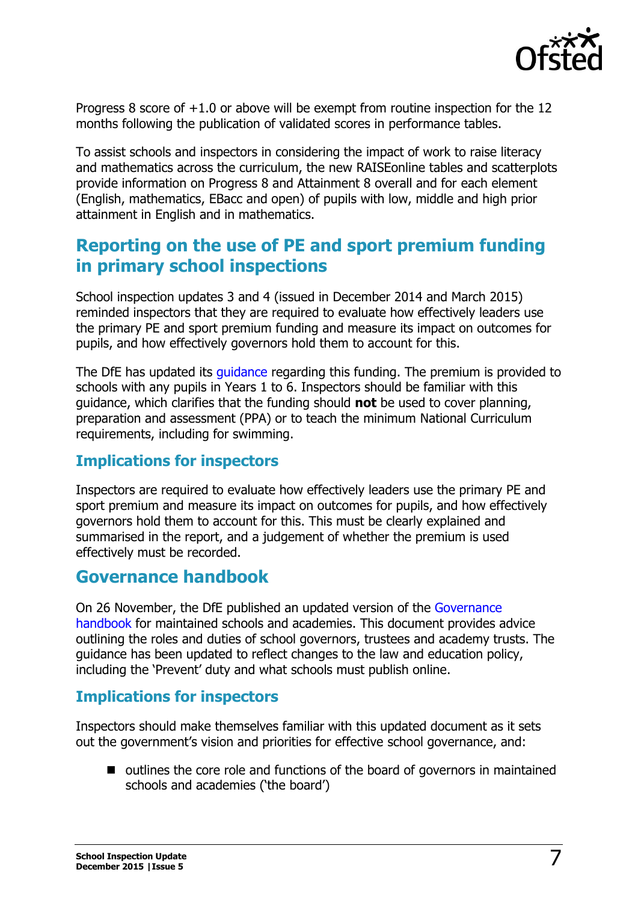

Progress 8 score of +1.0 or above will be exempt from routine inspection for the 12 months following the publication of validated scores in performance tables.

To assist schools and inspectors in considering the impact of work to raise literacy and mathematics across the curriculum, the new RAISEonline tables and scatterplots provide information on Progress 8 and Attainment 8 overall and for each element (English, mathematics, EBacc and open) of pupils with low, middle and high prior attainment in English and in mathematics.

# **Reporting on the use of PE and sport premium funding in primary school inspections**

School inspection updates 3 and 4 (issued in December 2014 and March 2015) reminded inspectors that they are required to evaluate how effectively leaders use the primary PE and sport premium funding and measure its impact on outcomes for pupils, and how effectively governors hold them to account for this.

The DfE has updated its quidance regarding this funding. The premium is provided to schools with any pupils in Years 1 to 6. Inspectors should be familiar with this guidance, which clarifies that the funding should **not** be used to cover planning, preparation and assessment (PPA) or to teach the minimum National Curriculum requirements, including for swimming.

## **Implications for inspectors**

Inspectors are required to evaluate how effectively leaders use the primary PE and sport premium and measure its impact on outcomes for pupils, and how effectively governors hold them to account for this. This must be clearly explained and summarised in the report, and a judgement of whether the premium is used effectively must be recorded.

## **[Governance handbook](https://lnks.gd/l/eyJhbGciOiJIUzI1NiJ9.eyJlbWFpbCI6Im1hdXJlZW4uY2Fycm9sbEBvZnN0ZWQuZ292LnVrIiwiYnVsbGV0aW5fbGlua19pZCI6IjEwMSIsInN1YnNjcmliZXJfaWQiOiIxNzM0Njk1NDIiLCJsaW5rX2lkIjoiNDI4NDMwMTMiLCJ1cmkiOiJicDI6ZGlnZXN0IiwidXJsIjoiaHR0cHM6Ly93d3cuZ292LnVrL2dvdmVybm1lbnQvcHVibGljYXRpb25zL2dvdmVybm9ycy1oYW5kYm9vay0tMyIsImJ1bGxldGluX2lkIjoiMjAxNTExMjYuNTE5ODA0NjEifQ.tmnnyKk_ssg_xuY4OCFyp3GLopqTB4TbcnS-ZDrnQck)**

On 26 November, the DfE published an updated version of the [Governance](https://www.gov.uk/government/publications/governance-handbook)  [handbook](https://www.gov.uk/government/publications/governance-handbook) for maintained schools and academies. This document provides advice outlining the roles and duties of school governors, trustees and academy trusts. The guidance has been updated to reflect changes to the law and education policy, including the 'Prevent' duty and what schools must publish online.

## **Implications for inspectors**

Inspectors should make themselves familiar with this updated document as it sets out the government's vision and priorities for effective school governance, and:

 $\blacksquare$  outlines the core role and functions of the board of governors in maintained schools and academies ('the board')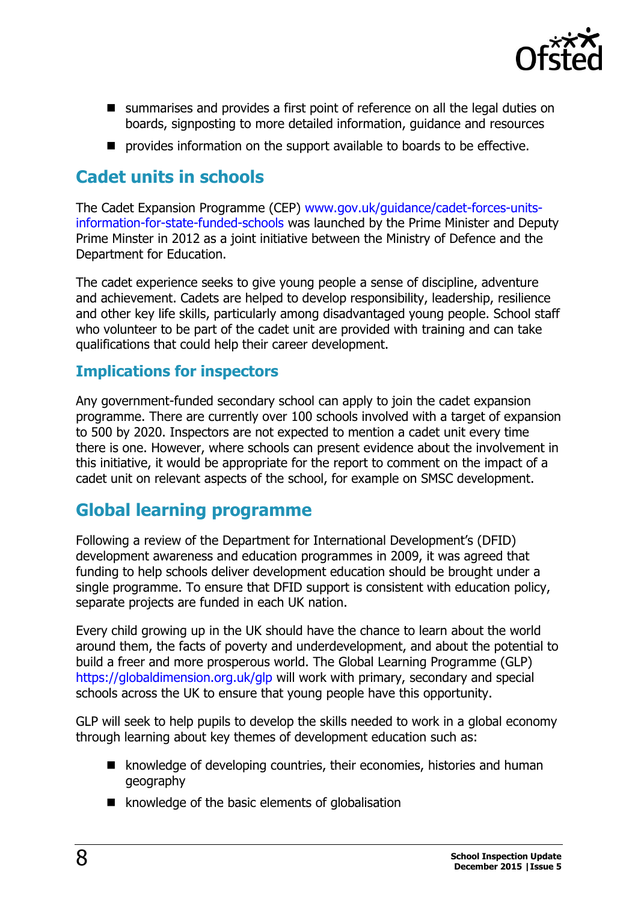

- summarises and provides a first point of reference on all the legal duties on boards, signposting to more detailed information, guidance and resources
- **P** provides information on the support available to boards to be effective.

# **Cadet units in schools**

The Cadet Expansion Programme (CEP) [www.gov.uk/guidance/cadet-forces-units](https://www.gov.uk/guidance/cadet-forces-units-information-for-state-funded-schools)[information-for-state-funded-schools](https://www.gov.uk/guidance/cadet-forces-units-information-for-state-funded-schools) was launched by the Prime Minister and Deputy Prime Minster in 2012 as a joint initiative between the Ministry of Defence and the Department for Education.

The cadet experience seeks to give young people a sense of discipline, adventure and achievement. Cadets are helped to develop responsibility, leadership, resilience and other key life skills, particularly among disadvantaged young people. School staff who volunteer to be part of the cadet unit are provided with training and can take qualifications that could help their career development.

## **Implications for inspectors**

Any government-funded secondary school can apply to join the cadet expansion programme. There are currently over 100 schools involved with a target of expansion to 500 by 2020. Inspectors are not expected to mention a cadet unit every time there is one. However, where schools can present evidence about the involvement in this initiative, it would be appropriate for the report to comment on the impact of a cadet unit on relevant aspects of the school, for example on SMSC development.

## **Global learning programme**

Following a review of the Department for International Development's (DFID) development awareness and education programmes in 2009, it was agreed that funding to help schools deliver development education should be brought under a single programme. To ensure that DFID support is consistent with education policy, separate projects are funded in each UK nation.

Every child growing up in the UK should have the chance to learn about the world around them, the facts of poverty and underdevelopment, and about the potential to build a freer and more prosperous world. The Global Learning Programme (GLP) <https://globaldimension.org.uk/glp> will work with primary, secondary and special schools across the UK to ensure that young people have this opportunity.

GLP will seek to help pupils to develop the skills needed to work in a global economy through learning about key themes of development education such as:

- knowledge of developing countries, their economies, histories and human geography
- $\blacksquare$  knowledge of the basic elements of globalisation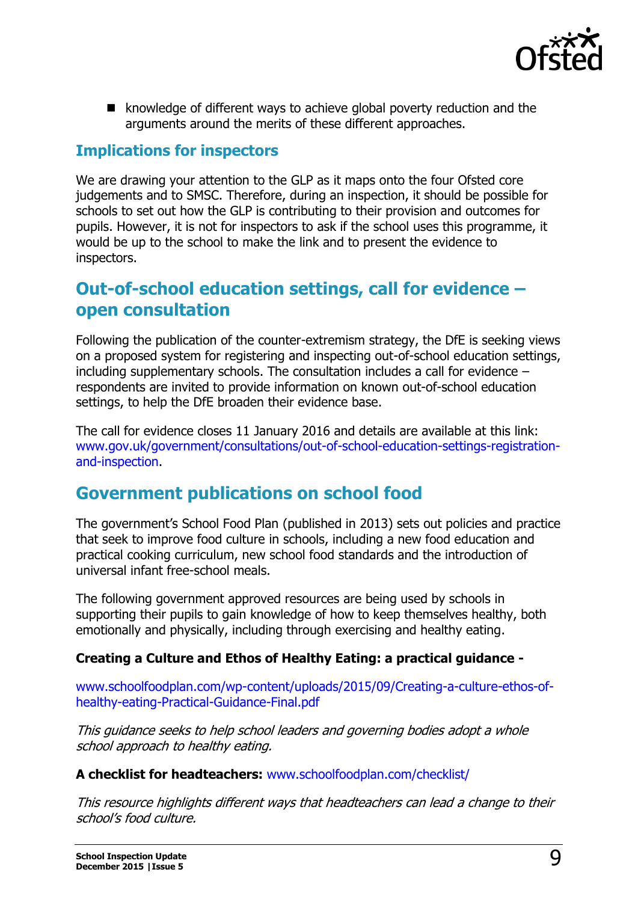

 $\blacksquare$  knowledge of different ways to achieve global poverty reduction and the arguments around the merits of these different approaches.

## **Implications for inspectors**

We are drawing your attention to the GLP as it maps onto the four Ofsted core judgements and to SMSC. Therefore, during an inspection, it should be possible for schools to set out how the GLP is contributing to their provision and outcomes for pupils. However, it is not for inspectors to ask if the school uses this programme, it would be up to the school to make the link and to present the evidence to inspectors.

## **Out-of-school education settings, call for evidence – open consultation**

Following the publication of the counter-extremism strategy, the DfE is seeking views on a proposed system for registering and inspecting out-of-school education settings, including supplementary schools. The consultation includes a call for evidence – respondents are invited to provide information on known out-of-school education settings, to help the DfE broaden their evidence base.

The call for evidence closes 11 January 2016 and details are available at this link: [www.gov.uk/government/consultations/out-of-school-education-settings-registration](http://www.gov.uk/government/consultations/out-of-school-education-settings-registration-and-inspection)[and-inspection.](http://www.gov.uk/government/consultations/out-of-school-education-settings-registration-and-inspection)

## **Government publications on school food**

The government's School Food Plan (published in 2013) sets out policies and practice that seek to improve food culture in schools, including a new food education and practical cooking curriculum, new school food standards and the introduction of universal infant free-school meals.

The following government approved resources are being used by schools in supporting their pupils to gain knowledge of how to keep themselves healthy, both emotionally and physically, including through exercising and healthy eating.

#### **Creating a Culture and Ethos of Healthy Eating: a practical guidance -**

[www.schoolfoodplan.com/wp-content/uploads/2015/09/Creating-a-culture-ethos-of](http://www.schoolfoodplan.com/wp-content/uploads/2015/09/Creating-a-culture-ethos-of-healthy-eating-Practical-Guidance-Final.pdf)[healthy-eating-Practical-Guidance-Final.pdf](http://www.schoolfoodplan.com/wp-content/uploads/2015/09/Creating-a-culture-ethos-of-healthy-eating-Practical-Guidance-Final.pdf)

This guidance seeks to help school leaders and governing bodies adopt a whole school approach to healthy eating.

#### **A checklist for headteachers:** [www.schoolfoodplan.com/checklist/](http://www.schoolfoodplan.com/checklist/)

This resource highlights different ways that headteachers can lead a change to their school's food culture.